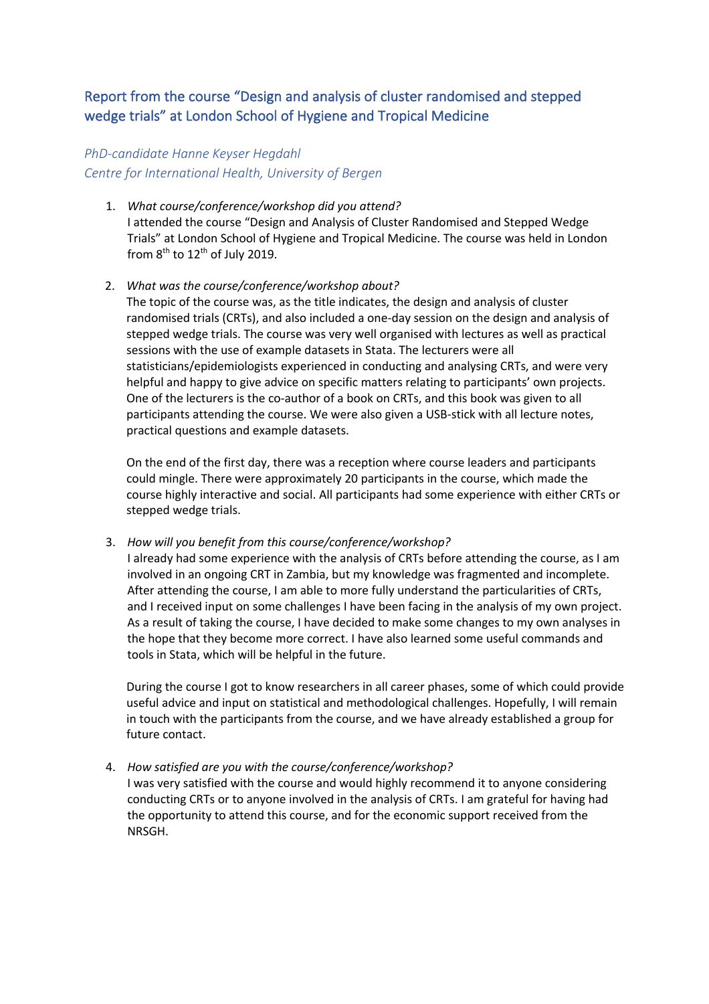## Report from the course "Design and analysis of cluster randomised and stepped wedge trials" at London School of Hygiene and Tropical Medicine

## *PhD-candidate Hanne Keyser Hegdahl Centre for International Health, University of Bergen*

- 1. *What course/conference/workshop did you attend?* I attended the course "Design and Analysis of Cluster Randomised and Stepped Wedge Trials" at London School of Hygiene and Tropical Medicine. The course was held in London from  $8<sup>th</sup>$  to  $12<sup>th</sup>$  of July 2019.
- 2. *What was the course/conference/workshop about?*

The topic of the course was, as the title indicates, the design and analysis of cluster randomised trials (CRTs), and also included a one-day session on the design and analysis of stepped wedge trials. The course was very well organised with lectures as well as practical sessions with the use of example datasets in Stata. The lecturers were all statisticians/epidemiologists experienced in conducting and analysing CRTs, and were very helpful and happy to give advice on specific matters relating to participants' own projects. One of the lecturers is the co-author of a book on CRTs, and this book was given to all participants attending the course. We were also given a USB-stick with all lecture notes, practical questions and example datasets.

On the end of the first day, there was a reception where course leaders and participants could mingle. There were approximately 20 participants in the course, which made the course highly interactive and social. All participants had some experience with either CRTs or stepped wedge trials.

3. *How will you benefit from this course/conference/workshop?*

I already had some experience with the analysis of CRTs before attending the course, as I am involved in an ongoing CRT in Zambia, but my knowledge was fragmented and incomplete. After attending the course, I am able to more fully understand the particularities of CRTs, and I received input on some challenges I have been facing in the analysis of my own project. As a result of taking the course, I have decided to make some changes to my own analyses in the hope that they become more correct. I have also learned some useful commands and tools in Stata, which will be helpful in the future.

During the course I got to know researchers in all career phases, some of which could provide useful advice and input on statistical and methodological challenges. Hopefully, I will remain in touch with the participants from the course, and we have already established a group for future contact.

## 4. *How satisfied are you with the course/conference/workshop?*

I was very satisfied with the course and would highly recommend it to anyone considering conducting CRTs or to anyone involved in the analysis of CRTs. I am grateful for having had the opportunity to attend this course, and for the economic support received from the NRSGH.